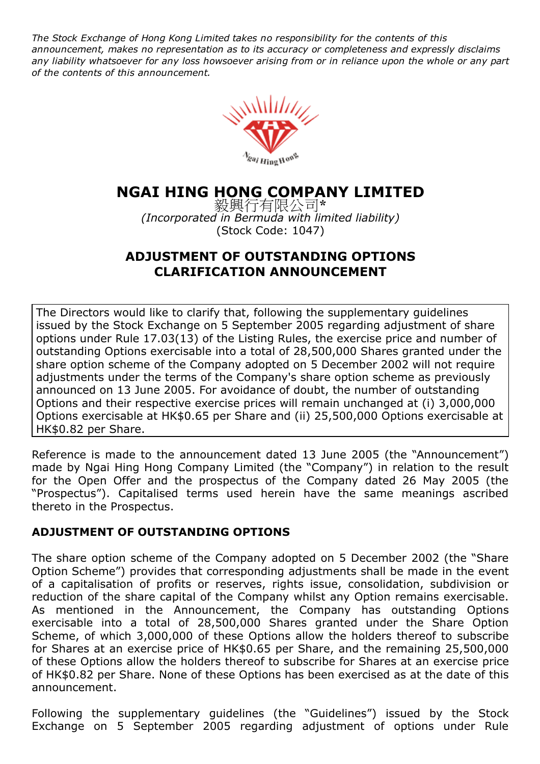The Stock Exchange of Hong Kong Limited takes no responsibility for the contents of this announcement, makes no representation as to its accuracy or completeness and expressly disclaims any liability whatsoever for any loss howsoever arising from or in reliance upon the whole or any part of the contents of this announcement.



## NGAI HING HONG COMPANY LIMITED

毅興行有限公司\* (Incorporated in Bermuda with limited liability) (Stock Code: 1047)

## ADJUSTMENT OF OUTSTANDING OPTIONS CLARIFICATION ANNOUNCEMENT

The Directors would like to clarify that, following the supplementary guidelines issued by the Stock Exchange on 5 September 2005 regarding adjustment of share options under Rule 17.03(13) of the Listing Rules, the exercise price and number of outstanding Options exercisable into a total of 28,500,000 Shares granted under the share option scheme of the Company adopted on 5 December 2002 will not require adjustments under the terms of the Company's share option scheme as previously announced on 13 June 2005. For avoidance of doubt, the number of outstanding Options and their respective exercise prices will remain unchanged at (i) 3,000,000 Options exercisable at HK\$0.65 per Share and (ii) 25,500,000 Options exercisable at HK\$0.82 per Share.

Reference is made to the announcement dated 13 June 2005 (the "Announcement") made by Ngai Hing Hong Company Limited (the "Company") in relation to the result for the Open Offer and the prospectus of the Company dated 26 May 2005 (the "Prospectus"). Capitalised terms used herein have the same meanings ascribed thereto in the Prospectus.

## ADJUSTMENT OF OUTSTANDING OPTIONS

The share option scheme of the Company adopted on 5 December 2002 (the "Share Option Scheme") provides that corresponding adjustments shall be made in the event of a capitalisation of profits or reserves, rights issue, consolidation, subdivision or reduction of the share capital of the Company whilst any Option remains exercisable. As mentioned in the Announcement, the Company has outstanding Options exercisable into a total of 28,500,000 Shares granted under the Share Option Scheme, of which 3,000,000 of these Options allow the holders thereof to subscribe for Shares at an exercise price of HK\$0.65 per Share, and the remaining 25,500,000 of these Options allow the holders thereof to subscribe for Shares at an exercise price of HK\$0.82 per Share. None of these Options has been exercised as at the date of this announcement.

Following the supplementary guidelines (the "Guidelines") issued by the Stock Exchange on 5 September 2005 regarding adjustment of options under Rule